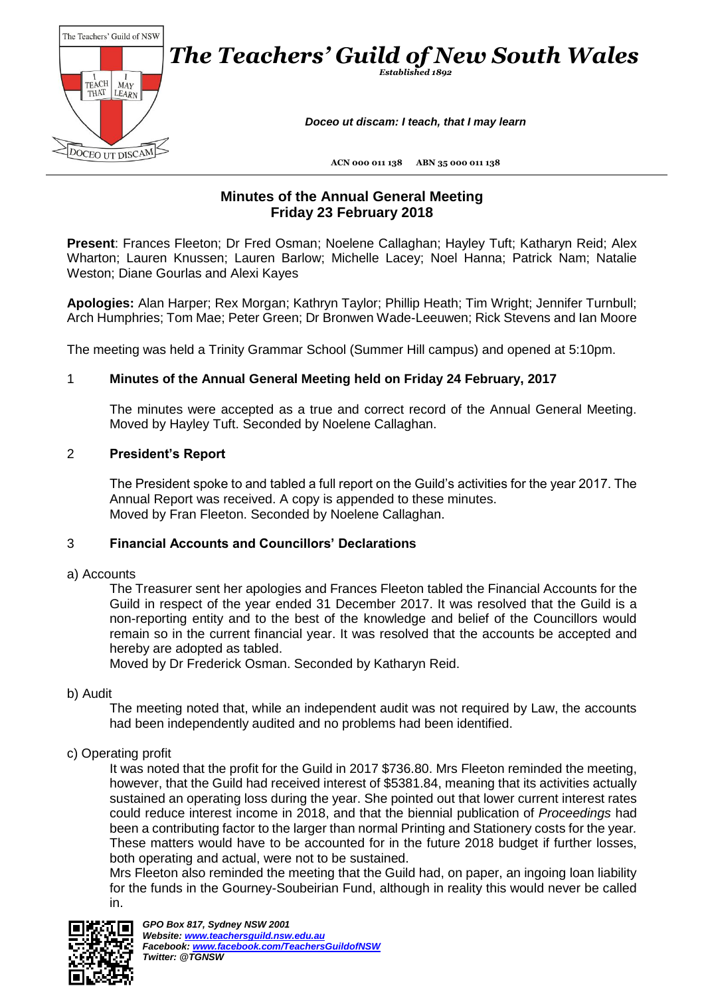

# **Minutes of the Annual General Meeting Friday 23 February 2018**

**Present**: Frances Fleeton; Dr Fred Osman; Noelene Callaghan; Hayley Tuft; Katharyn Reid; Alex Wharton; Lauren Knussen; Lauren Barlow; Michelle Lacey; Noel Hanna; Patrick Nam; Natalie Weston; Diane Gourlas and Alexi Kayes

**Apologies:** Alan Harper; Rex Morgan; Kathryn Taylor; Phillip Heath; Tim Wright; Jennifer Turnbull; Arch Humphries; Tom Mae; Peter Green; Dr Bronwen Wade-Leeuwen; Rick Stevens and Ian Moore

The meeting was held a Trinity Grammar School (Summer Hill campus) and opened at 5:10pm.

# 1 **Minutes of the Annual General Meeting held on Friday 24 February, 2017**

The minutes were accepted as a true and correct record of the Annual General Meeting. Moved by Hayley Tuft. Seconded by Noelene Callaghan.

# 2 **President's Report**

The President spoke to and tabled a full report on the Guild's activities for the year 2017. The Annual Report was received. A copy is appended to these minutes. Moved by Fran Fleeton. Seconded by Noelene Callaghan.

#### 3 **Financial Accounts and Councillors' Declarations**

#### a) Accounts

The Treasurer sent her apologies and Frances Fleeton tabled the Financial Accounts for the Guild in respect of the year ended 31 December 2017. It was resolved that the Guild is a non-reporting entity and to the best of the knowledge and belief of the Councillors would remain so in the current financial year. It was resolved that the accounts be accepted and hereby are adopted as tabled.

Moved by Dr Frederick Osman. Seconded by Katharyn Reid.

#### b) Audit

The meeting noted that, while an independent audit was not required by Law, the accounts had been independently audited and no problems had been identified.

#### c) Operating profit

It was noted that the profit for the Guild in 2017 \$736.80. Mrs Fleeton reminded the meeting, however, that the Guild had received interest of \$5381.84, meaning that its activities actually sustained an operating loss during the year. She pointed out that lower current interest rates could reduce interest income in 2018, and that the biennial publication of *Proceedings* had been a contributing factor to the larger than normal Printing and Stationery costs for the year*.*  These matters would have to be accounted for in the future 2018 budget if further losses, both operating and actual, were not to be sustained.

Mrs Fleeton also reminded the meeting that the Guild had, on paper, an ingoing loan liability for the funds in the Gourney-Soubeirian Fund, although in reality this would never be called in.

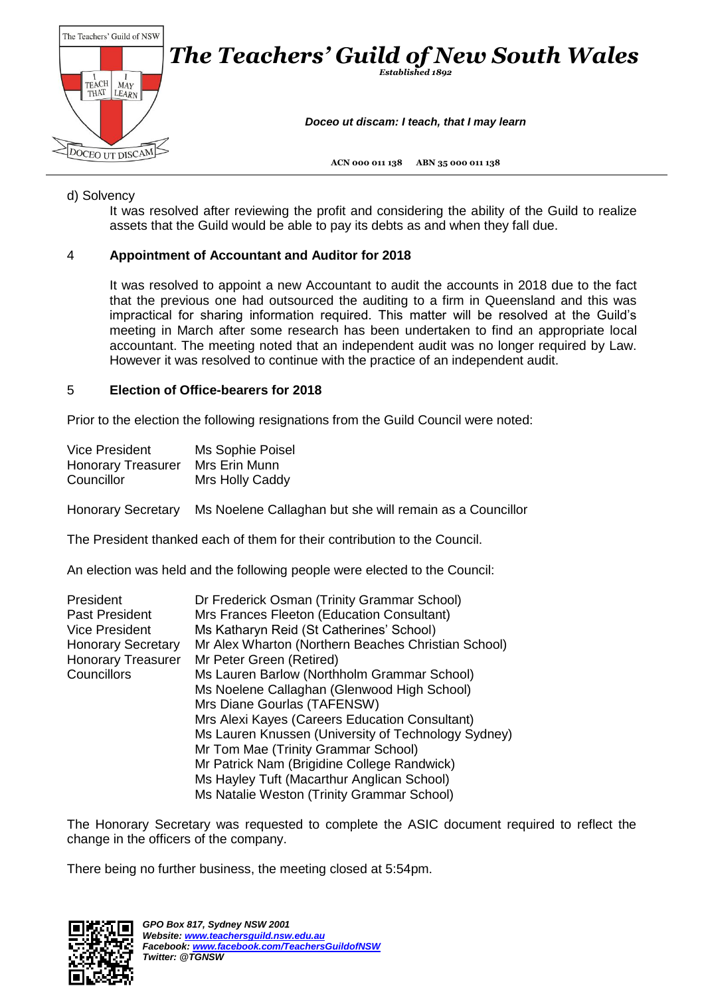

## d) Solvency

It was resolved after reviewing the profit and considering the ability of the Guild to realize assets that the Guild would be able to pay its debts as and when they fall due.

# 4 **Appointment of Accountant and Auditor for 2018**

It was resolved to appoint a new Accountant to audit the accounts in 2018 due to the fact that the previous one had outsourced the auditing to a firm in Queensland and this was impractical for sharing information required. This matter will be resolved at the Guild's meeting in March after some research has been undertaken to find an appropriate local accountant. The meeting noted that an independent audit was no longer required by Law. However it was resolved to continue with the practice of an independent audit.

# 5 **Election of Office-bearers for 2018**

Prior to the election the following resignations from the Guild Council were noted:

| <b>Vice President</b>     | Ms Sophie Poisel |
|---------------------------|------------------|
| <b>Honorary Treasurer</b> | Mrs Erin Munn    |
| Councillor                | Mrs Holly Caddy  |

Honorary Secretary Ms Noelene Callaghan but she will remain as a Councillor

The President thanked each of them for their contribution to the Council.

An election was held and the following people were elected to the Council:

| President                 | Dr Frederick Osman (Trinity Grammar School)         |
|---------------------------|-----------------------------------------------------|
| <b>Past President</b>     | Mrs Frances Fleeton (Education Consultant)          |
| <b>Vice President</b>     | Ms Katharyn Reid (St Catherines' School)            |
| <b>Honorary Secretary</b> | Mr Alex Wharton (Northern Beaches Christian School) |
| <b>Honorary Treasurer</b> | Mr Peter Green (Retired)                            |
| Councillors               | Ms Lauren Barlow (Northholm Grammar School)         |
|                           | Ms Noelene Callaghan (Glenwood High School)         |
|                           | Mrs Diane Gourlas (TAFENSW)                         |
|                           | Mrs Alexi Kayes (Careers Education Consultant)      |
|                           | Ms Lauren Knussen (University of Technology Sydney) |
|                           | Mr Tom Mae (Trinity Grammar School)                 |
|                           | Mr Patrick Nam (Brigidine College Randwick)         |
|                           | Ms Hayley Tuft (Macarthur Anglican School)          |
|                           | Ms Natalie Weston (Trinity Grammar School)          |

The Honorary Secretary was requested to complete the ASIC document required to reflect the change in the officers of the company.

There being no further business, the meeting closed at 5:54pm.

![](_page_1_Picture_14.jpeg)